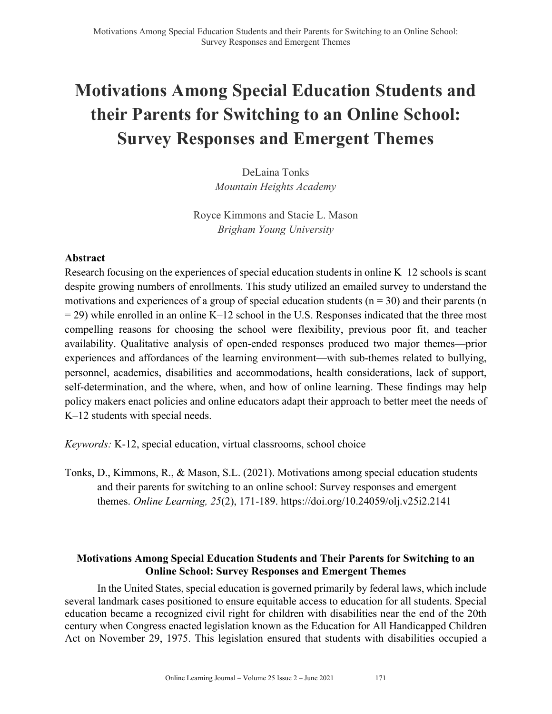# **Motivations Among Special Education Students and their Parents for Switching to an Online School: Survey Responses and Emergent Themes**

DeLaina Tonks *Mountain Heights Academy*

Royce Kimmons and Stacie L. Mason *Brigham Young University*

# **Abstract**

Research focusing on the experiences of special education students in online K–12 schools is scant despite growing numbers of enrollments. This study utilized an emailed survey to understand the motivations and experiences of a group of special education students ( $n = 30$ ) and their parents (n  $= 29$ ) while enrolled in an online K–12 school in the U.S. Responses indicated that the three most compelling reasons for choosing the school were flexibility, previous poor fit, and teacher availability. Qualitative analysis of open-ended responses produced two major themes—prior experiences and affordances of the learning environment—with sub-themes related to bullying, personnel, academics, disabilities and accommodations, health considerations, lack of support, self-determination, and the where, when, and how of online learning. These findings may help policy makers enact policies and online educators adapt their approach to better meet the needs of K–12 students with special needs.

*Keywords:* K-12, special education, virtual classrooms, school choice

Tonks, D., Kimmons, R., & Mason, S.L. (2021). Motivations among special education students and their parents for switching to an online school: Survey responses and emergent themes. *Online Learning, 25*(2), 171-189. https://doi.org/10.24059/olj.v25i2.2141

# **Motivations Among Special Education Students and Their Parents for Switching to an Online School: Survey Responses and Emergent Themes**

In the United States, special education is governed primarily by federal laws, which include several landmark cases positioned to ensure equitable access to education for all students. Special education became a recognized civil right for children with disabilities near the end of the 20th century when Congress enacted legislation known as the Education for All Handicapped Children Act on November 29, 1975. This legislation ensured that students with disabilities occupied a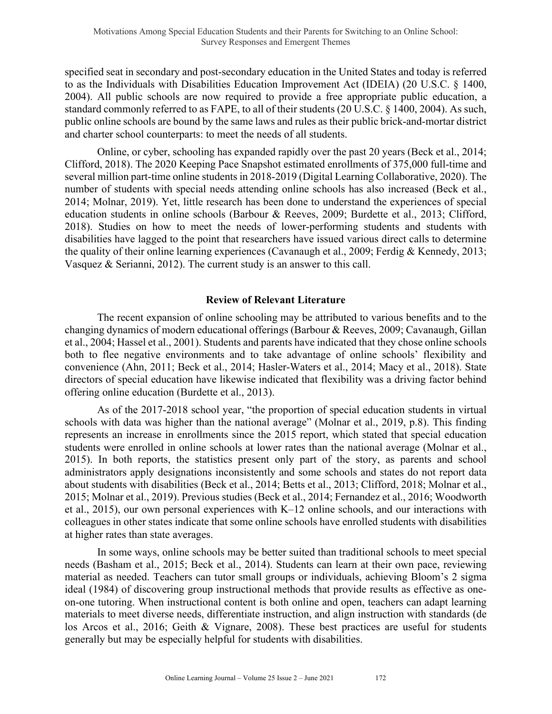specified seat in secondary and post-secondary education in the United States and today is referred to as the Individuals with Disabilities Education Improvement Act (IDEIA) (20 U.S.C. § 1400, 2004). All public schools are now required to provide a free appropriate public education, a standard commonly referred to as FAPE, to all of their students (20 U.S.C. § 1400, 2004). As such, public online schools are bound by the same laws and rules as their public brick-and-mortar district and charter school counterparts: to meet the needs of all students.

Online, or cyber, schooling has expanded rapidly over the past 20 years (Beck et al., 2014; Clifford, 2018). The 2020 Keeping Pace Snapshot estimated enrollments of 375,000 full-time and several million part-time online students in 2018-2019 (Digital Learning Collaborative, 2020). The number of students with special needs attending online schools has also increased (Beck et al., 2014; Molnar, 2019). Yet, little research has been done to understand the experiences of special education students in online schools (Barbour & Reeves, 2009; Burdette et al., 2013; Clifford, 2018). Studies on how to meet the needs of lower-performing students and students with disabilities have lagged to the point that researchers have issued various direct calls to determine the quality of their online learning experiences (Cavanaugh et al., 2009; Ferdig & Kennedy, 2013; Vasquez & Serianni, 2012). The current study is an answer to this call.

#### **Review of Relevant Literature**

The recent expansion of online schooling may be attributed to various benefits and to the changing dynamics of modern educational offerings (Barbour & Reeves, 2009; Cavanaugh, Gillan et al., 2004; Hassel et al., 2001). Students and parents have indicated that they chose online schools both to flee negative environments and to take advantage of online schools' flexibility and convenience (Ahn, 2011; Beck et al., 2014; Hasler-Waters et al., 2014; Macy et al., 2018). State directors of special education have likewise indicated that flexibility was a driving factor behind offering online education (Burdette et al., 2013).

As of the 2017-2018 school year, "the proportion of special education students in virtual schools with data was higher than the national average" (Molnar et al., 2019, p.8). This finding represents an increase in enrollments since the 2015 report, which stated that special education students were enrolled in online schools at lower rates than the national average (Molnar et al., 2015). In both reports, the statistics present only part of the story, as parents and school administrators apply designations inconsistently and some schools and states do not report data about students with disabilities (Beck et al., 2014; Betts et al., 2013; Clifford, 2018; Molnar et al., 2015; Molnar et al., 2019). Previous studies (Beck et al., 2014; Fernandez et al., 2016; Woodworth et al., 2015), our own personal experiences with K–12 online schools, and our interactions with colleagues in other states indicate that some online schools have enrolled students with disabilities at higher rates than state averages.

In some ways, online schools may be better suited than traditional schools to meet special needs (Basham et al., 2015; Beck et al., 2014). Students can learn at their own pace, reviewing material as needed. Teachers can tutor small groups or individuals, achieving Bloom's 2 sigma ideal (1984) of discovering group instructional methods that provide results as effective as oneon-one tutoring. When instructional content is both online and open, teachers can adapt learning materials to meet diverse needs, differentiate instruction, and align instruction with standards (de los Arcos et al., 2016; Geith & Vignare, 2008). These best practices are useful for students generally but may be especially helpful for students with disabilities.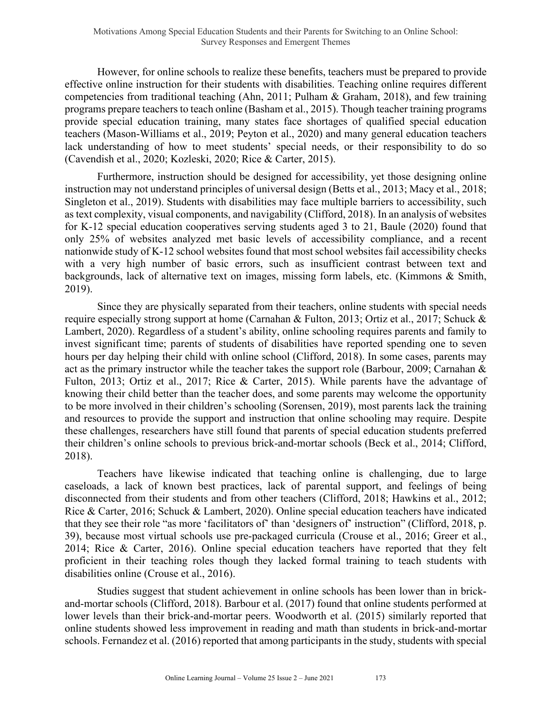However, for online schools to realize these benefits, teachers must be prepared to provide effective online instruction for their students with disabilities. Teaching online requires different competencies from traditional teaching (Ahn, 2011; Pulham & Graham, 2018), and few training programs prepare teachers to teach online (Basham et al., 2015). Though teacher training programs provide special education training, many states face shortages of qualified special education teachers (Mason-Williams et al., 2019; Peyton et al., 2020) and many general education teachers lack understanding of how to meet students' special needs, or their responsibility to do so (Cavendish et al., 2020; Kozleski, 2020; Rice & Carter, 2015).

Furthermore, instruction should be designed for accessibility, yet those designing online instruction may not understand principles of universal design (Betts et al., 2013; Macy et al., 2018; Singleton et al., 2019). Students with disabilities may face multiple barriers to accessibility, such as text complexity, visual components, and navigability (Clifford, 2018). In an analysis of websites for K-12 special education cooperatives serving students aged 3 to 21, Baule (2020) found that only 25% of websites analyzed met basic levels of accessibility compliance, and a recent nationwide study of K-12 school websites found that most school websites fail accessibility checks with a very high number of basic errors, such as insufficient contrast between text and backgrounds, lack of alternative text on images, missing form labels, etc. (Kimmons & Smith, 2019).

Since they are physically separated from their teachers, online students with special needs require especially strong support at home (Carnahan & Fulton, 2013; Ortiz et al., 2017; Schuck & Lambert, 2020). Regardless of a student's ability, online schooling requires parents and family to invest significant time; parents of students of disabilities have reported spending one to seven hours per day helping their child with online school (Clifford, 2018). In some cases, parents may act as the primary instructor while the teacher takes the support role (Barbour, 2009; Carnahan & Fulton, 2013; Ortiz et al., 2017; Rice & Carter, 2015). While parents have the advantage of knowing their child better than the teacher does, and some parents may welcome the opportunity to be more involved in their children's schooling (Sorensen, 2019), most parents lack the training and resources to provide the support and instruction that online schooling may require. Despite these challenges, researchers have still found that parents of special education students preferred their children's online schools to previous brick-and-mortar schools (Beck et al., 2014; Clifford, 2018).

Teachers have likewise indicated that teaching online is challenging, due to large caseloads, a lack of known best practices, lack of parental support, and feelings of being disconnected from their students and from other teachers (Clifford, 2018; Hawkins et al., 2012; Rice & Carter, 2016; Schuck & Lambert, 2020). Online special education teachers have indicated that they see their role "as more 'facilitators of' than 'designers of' instruction" (Clifford, 2018, p. 39), because most virtual schools use pre-packaged curricula (Crouse et al., 2016; Greer et al., 2014; Rice & Carter, 2016). Online special education teachers have reported that they felt proficient in their teaching roles though they lacked formal training to teach students with disabilities online (Crouse et al., 2016).

Studies suggest that student achievement in online schools has been lower than in brickand-mortar schools (Clifford, 2018). Barbour et al. (2017) found that online students performed at lower levels than their brick-and-mortar peers. Woodworth et al. (2015) similarly reported that online students showed less improvement in reading and math than students in brick-and-mortar schools. Fernandez et al. (2016) reported that among participants in the study, students with special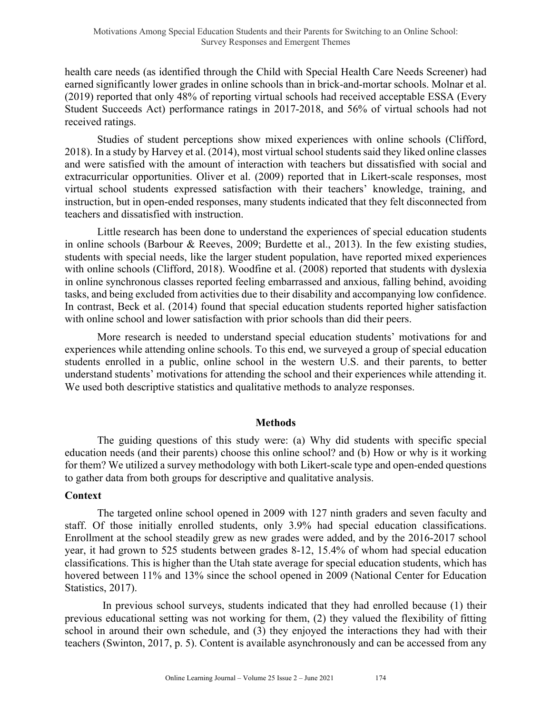health care needs (as identified through the Child with Special Health Care Needs Screener) had earned significantly lower grades in online schools than in brick-and-mortar schools. Molnar et al. (2019) reported that only 48% of reporting virtual schools had received acceptable ESSA (Every Student Succeeds Act) performance ratings in 2017-2018, and 56% of virtual schools had not received ratings.

Studies of student perceptions show mixed experiences with online schools (Clifford, 2018). In a study by Harvey et al. (2014), most virtual school students said they liked online classes and were satisfied with the amount of interaction with teachers but dissatisfied with social and extracurricular opportunities. Oliver et al. (2009) reported that in Likert-scale responses, most virtual school students expressed satisfaction with their teachers' knowledge, training, and instruction, but in open-ended responses, many students indicated that they felt disconnected from teachers and dissatisfied with instruction.

Little research has been done to understand the experiences of special education students in online schools (Barbour & Reeves, 2009; Burdette et al., 2013). In the few existing studies, students with special needs, like the larger student population, have reported mixed experiences with online schools (Clifford, 2018). Woodfine et al. (2008) reported that students with dyslexia in online synchronous classes reported feeling embarrassed and anxious, falling behind, avoiding tasks, and being excluded from activities due to their disability and accompanying low confidence. In contrast, Beck et al. (2014) found that special education students reported higher satisfaction with online school and lower satisfaction with prior schools than did their peers.

More research is needed to understand special education students' motivations for and experiences while attending online schools. To this end, we surveyed a group of special education students enrolled in a public, online school in the western U.S. and their parents, to better understand students' motivations for attending the school and their experiences while attending it. We used both descriptive statistics and qualitative methods to analyze responses.

#### **Methods**

The guiding questions of this study were: (a) Why did students with specific special education needs (and their parents) choose this online school? and (b) How or why is it working for them? We utilized a survey methodology with both Likert-scale type and open-ended questions to gather data from both groups for descriptive and qualitative analysis.

#### **Context**

The targeted online school opened in 2009 with 127 ninth graders and seven faculty and staff. Of those initially enrolled students, only 3.9% had special education classifications. Enrollment at the school steadily grew as new grades were added, and by the 2016-2017 school year, it had grown to 525 students between grades 8-12, 15.4% of whom had special education classifications. This is higher than the Utah state average for special education students, which has hovered between 11% and 13% since the school opened in 2009 (National Center for Education Statistics, 2017).

 In previous school surveys, students indicated that they had enrolled because (1) their previous educational setting was not working for them, (2) they valued the flexibility of fitting school in around their own schedule, and (3) they enjoyed the interactions they had with their teachers (Swinton, 2017, p. 5). Content is available asynchronously and can be accessed from any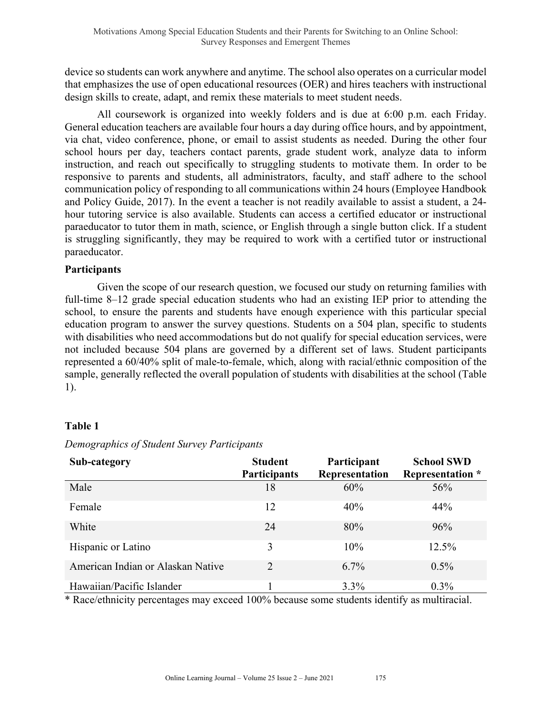device so students can work anywhere and anytime. The school also operates on a curricular model that emphasizes the use of open educational resources (OER) and hires teachers with instructional design skills to create, adapt, and remix these materials to meet student needs.

All coursework is organized into weekly folders and is due at 6:00 p.m. each Friday. General education teachers are available four hours a day during office hours, and by appointment, via chat, video conference, phone, or email to assist students as needed. During the other four school hours per day, teachers contact parents, grade student work, analyze data to inform instruction, and reach out specifically to struggling students to motivate them. In order to be responsive to parents and students, all administrators, faculty, and staff adhere to the school communication policy of responding to all communications within 24 hours (Employee Handbook and Policy Guide, 2017). In the event a teacher is not readily available to assist a student, a 24 hour tutoring service is also available. Students can access a certified educator or instructional paraeducator to tutor them in math, science, or English through a single button click. If a student is struggling significantly, they may be required to work with a certified tutor or instructional paraeducator.

#### **Participants**

Given the scope of our research question, we focused our study on returning families with full-time 8–12 grade special education students who had an existing IEP prior to attending the school, to ensure the parents and students have enough experience with this particular special education program to answer the survey questions. Students on a 504 plan, specific to students with disabilities who need accommodations but do not qualify for special education services, were not included because 504 plans are governed by a different set of laws. Student participants represented a 60/40% split of male-to-female, which, along with racial/ethnic composition of the sample, generally reflected the overall population of students with disabilities at the school (Table 1).

# **Table 1**

| Sub-category                      | <b>Student</b><br><b>Participants</b> | Participant<br>Representation | <b>School SWD</b><br><b>Representation</b> * |
|-----------------------------------|---------------------------------------|-------------------------------|----------------------------------------------|
| Male                              | 18                                    | 60%                           | 56%                                          |
| Female                            | 12                                    | 40%                           | 44%                                          |
| White                             | 24                                    | 80%                           | 96%                                          |
| Hispanic or Latino                | 3                                     | 10%                           | 12.5%                                        |
| American Indian or Alaskan Native | $\overline{2}$                        | $6.7\%$                       | $0.5\%$                                      |
| Hawaiian/Pacific Islander         |                                       | $3.3\%$                       | $0.3\%$                                      |

*Demographics of Student Survey Participants*

\* Race/ethnicity percentages may exceed 100% because some students identify as multiracial.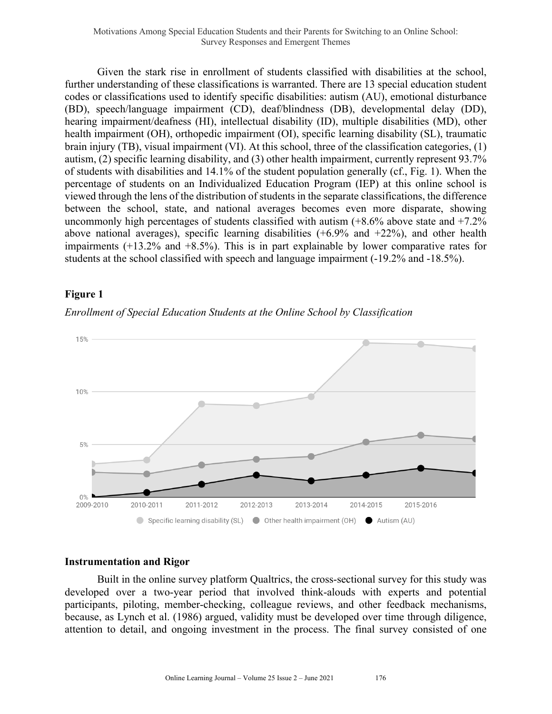Given the stark rise in enrollment of students classified with disabilities at the school, further understanding of these classifications is warranted. There are 13 special education student codes or classifications used to identify specific disabilities: autism (AU), emotional disturbance (BD), speech/language impairment (CD), deaf/blindness (DB), developmental delay (DD), hearing impairment/deafness (HI), intellectual disability (ID), multiple disabilities (MD), other health impairment (OH), orthopedic impairment (OI), specific learning disability (SL), traumatic brain injury (TB), visual impairment (VI). At this school, three of the classification categories, (1) autism, (2) specific learning disability, and (3) other health impairment, currently represent 93.7% of students with disabilities and 14.1% of the student population generally (cf., Fig. 1). When the percentage of students on an Individualized Education Program (IEP) at this online school is viewed through the lens of the distribution of students in the separate classifications, the difference between the school, state, and national averages becomes even more disparate, showing uncommonly high percentages of students classified with autism  $(+8.6\%$  above state and  $+7.2\%$ above national averages), specific learning disabilities  $(+6.9\%$  and  $+22\%)$ , and other health impairments (+13.2% and +8.5%). This is in part explainable by lower comparative rates for students at the school classified with speech and language impairment (-19.2% and -18.5%).

# **Figure 1**

*Enrollment of Special Education Students at the Online School by Classification*



#### **Instrumentation and Rigor**

Built in the online survey platform Qualtrics, the cross-sectional survey for this study was developed over a two-year period that involved think-alouds with experts and potential participants, piloting, member-checking, colleague reviews, and other feedback mechanisms, because, as Lynch et al. (1986) argued, validity must be developed over time through diligence, attention to detail, and ongoing investment in the process. The final survey consisted of one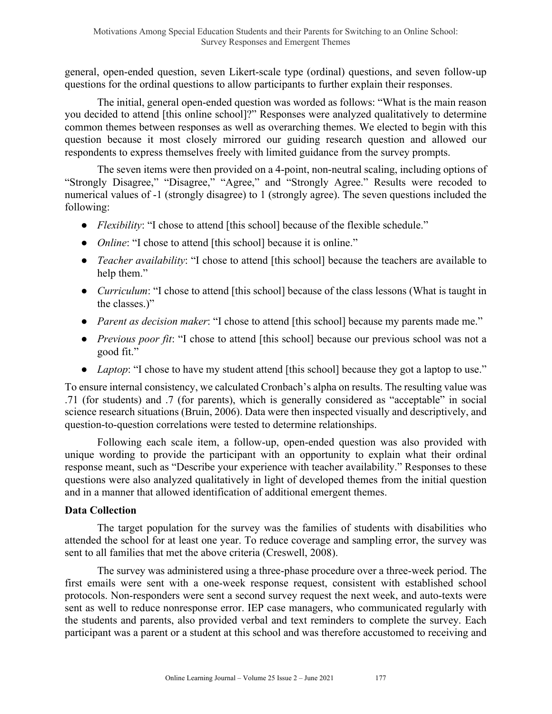general, open-ended question, seven Likert-scale type (ordinal) questions, and seven follow-up questions for the ordinal questions to allow participants to further explain their responses.

The initial, general open-ended question was worded as follows: "What is the main reason you decided to attend [this online school]?" Responses were analyzed qualitatively to determine common themes between responses as well as overarching themes. We elected to begin with this question because it most closely mirrored our guiding research question and allowed our respondents to express themselves freely with limited guidance from the survey prompts.

The seven items were then provided on a 4-point, non-neutral scaling, including options of "Strongly Disagree," "Disagree," "Agree," and "Strongly Agree." Results were recoded to numerical values of -1 (strongly disagree) to 1 (strongly agree). The seven questions included the following:

- *Flexibility*: "I chose to attend [this school] because of the flexible schedule."
- *Online*: "I chose to attend [this school] because it is online."
- *Teacher availability*: "I chose to attend [this school] because the teachers are available to help them."
- *Curriculum*: "I chose to attend [this school] because of the class lessons (What is taught in the classes.)"
- *Parent as decision maker*: "I chose to attend [this school] because my parents made me."
- *Previous poor fit*: "I chose to attend [this school] because our previous school was not a good fit."
- *Laptop*: "I chose to have my student attend [this school] because they got a laptop to use."

To ensure internal consistency, we calculated Cronbach's alpha on results. The resulting value was .71 (for students) and .7 (for parents), which is generally considered as "acceptable" in social science research situations (Bruin, 2006). Data were then inspected visually and descriptively, and question-to-question correlations were tested to determine relationships.

Following each scale item, a follow-up, open-ended question was also provided with unique wording to provide the participant with an opportunity to explain what their ordinal response meant, such as "Describe your experience with teacher availability." Responses to these questions were also analyzed qualitatively in light of developed themes from the initial question and in a manner that allowed identification of additional emergent themes.

# **Data Collection**

The target population for the survey was the families of students with disabilities who attended the school for at least one year. To reduce coverage and sampling error, the survey was sent to all families that met the above criteria (Creswell, 2008).

The survey was administered using a three-phase procedure over a three-week period. The first emails were sent with a one-week response request, consistent with established school protocols. Non-responders were sent a second survey request the next week, and auto-texts were sent as well to reduce nonresponse error. IEP case managers, who communicated regularly with the students and parents, also provided verbal and text reminders to complete the survey. Each participant was a parent or a student at this school and was therefore accustomed to receiving and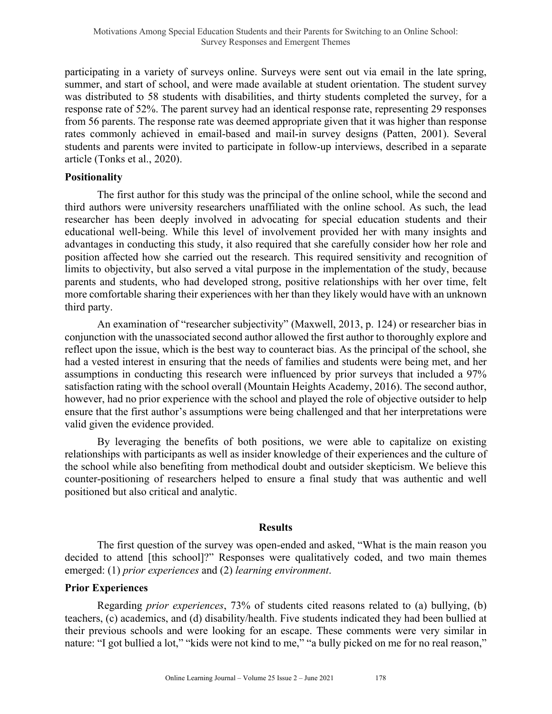participating in a variety of surveys online. Surveys were sent out via email in the late spring, summer, and start of school, and were made available at student orientation. The student survey was distributed to 58 students with disabilities, and thirty students completed the survey, for a response rate of 52%. The parent survey had an identical response rate, representing 29 responses from 56 parents. The response rate was deemed appropriate given that it was higher than response rates commonly achieved in email-based and mail-in survey designs (Patten, 2001). Several students and parents were invited to participate in follow-up interviews, described in a separate article (Tonks et al., 2020).

#### **Positionality**

The first author for this study was the principal of the online school, while the second and third authors were university researchers unaffiliated with the online school. As such, the lead researcher has been deeply involved in advocating for special education students and their educational well-being. While this level of involvement provided her with many insights and advantages in conducting this study, it also required that she carefully consider how her role and position affected how she carried out the research. This required sensitivity and recognition of limits to objectivity, but also served a vital purpose in the implementation of the study, because parents and students, who had developed strong, positive relationships with her over time, felt more comfortable sharing their experiences with her than they likely would have with an unknown third party.

An examination of "researcher subjectivity" (Maxwell, 2013, p. 124) or researcher bias in conjunction with the unassociated second author allowed the first author to thoroughly explore and reflect upon the issue, which is the best way to counteract bias. As the principal of the school, she had a vested interest in ensuring that the needs of families and students were being met, and her assumptions in conducting this research were influenced by prior surveys that included a 97% satisfaction rating with the school overall (Mountain Heights Academy, 2016). The second author, however, had no prior experience with the school and played the role of objective outsider to help ensure that the first author's assumptions were being challenged and that her interpretations were valid given the evidence provided.

By leveraging the benefits of both positions, we were able to capitalize on existing relationships with participants as well as insider knowledge of their experiences and the culture of the school while also benefiting from methodical doubt and outsider skepticism. We believe this counter-positioning of researchers helped to ensure a final study that was authentic and well positioned but also critical and analytic.

#### **Results**

The first question of the survey was open-ended and asked, "What is the main reason you decided to attend [this school]?" Responses were qualitatively coded, and two main themes emerged: (1) *prior experiences* and (2) *learning environment*.

#### **Prior Experiences**

Regarding *prior experiences*, 73% of students cited reasons related to (a) bullying, (b) teachers, (c) academics, and (d) disability/health. Five students indicated they had been bullied at their previous schools and were looking for an escape. These comments were very similar in nature: "I got bullied a lot," "kids were not kind to me," "a bully picked on me for no real reason,"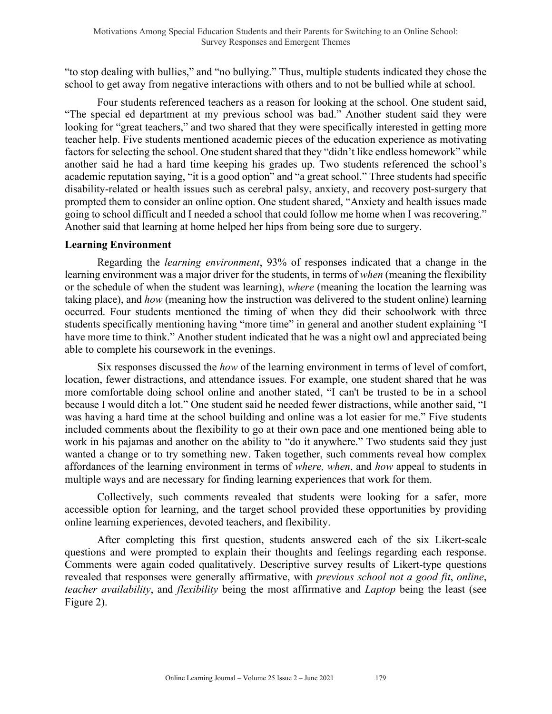"to stop dealing with bullies," and "no bullying." Thus, multiple students indicated they chose the school to get away from negative interactions with others and to not be bullied while at school.

Four students referenced teachers as a reason for looking at the school. One student said, "The special ed department at my previous school was bad." Another student said they were looking for "great teachers," and two shared that they were specifically interested in getting more teacher help. Five students mentioned academic pieces of the education experience as motivating factors for selecting the school. One student shared that they "didn't like endless homework" while another said he had a hard time keeping his grades up. Two students referenced the school's academic reputation saying, "it is a good option" and "a great school." Three students had specific disability-related or health issues such as cerebral palsy, anxiety, and recovery post-surgery that prompted them to consider an online option. One student shared, "Anxiety and health issues made going to school difficult and I needed a school that could follow me home when I was recovering." Another said that learning at home helped her hips from being sore due to surgery.

#### **Learning Environment**

Regarding the *learning environment*, 93% of responses indicated that a change in the learning environment was a major driver for the students, in terms of *when* (meaning the flexibility or the schedule of when the student was learning), *where* (meaning the location the learning was taking place), and *how* (meaning how the instruction was delivered to the student online) learning occurred. Four students mentioned the timing of when they did their schoolwork with three students specifically mentioning having "more time" in general and another student explaining "I have more time to think." Another student indicated that he was a night owl and appreciated being able to complete his coursework in the evenings.

Six responses discussed the *how* of the learning environment in terms of level of comfort, location, fewer distractions, and attendance issues. For example, one student shared that he was more comfortable doing school online and another stated, "I can't be trusted to be in a school because I would ditch a lot." One student said he needed fewer distractions, while another said, "I was having a hard time at the school building and online was a lot easier for me." Five students included comments about the flexibility to go at their own pace and one mentioned being able to work in his pajamas and another on the ability to "do it anywhere." Two students said they just wanted a change or to try something new. Taken together, such comments reveal how complex affordances of the learning environment in terms of *where, when*, and *how* appeal to students in multiple ways and are necessary for finding learning experiences that work for them.

Collectively, such comments revealed that students were looking for a safer, more accessible option for learning, and the target school provided these opportunities by providing online learning experiences, devoted teachers, and flexibility.

After completing this first question, students answered each of the six Likert-scale questions and were prompted to explain their thoughts and feelings regarding each response. Comments were again coded qualitatively. Descriptive survey results of Likert-type questions revealed that responses were generally affirmative, with *previous school not a good fit*, *online*, *teacher availability*, and *flexibility* being the most affirmative and *Laptop* being the least (see Figure 2).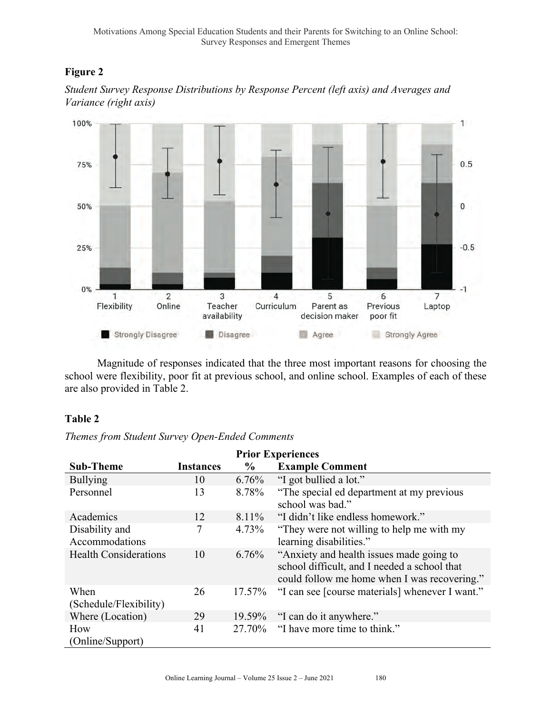# **Figure 2**



*Student Survey Response Distributions by Response Percent (left axis) and Averages and Variance (right axis)*



Magnitude of responses indicated that the three most important reasons for choosing the school were flexibility, poor fit at previous school, and online school. Examples of each of these are also provided in Table 2.

# **Table 2**

# *Themes from Student Survey Open-Ended Comments*

|                              |                  |               | <b>Prior Experiences</b>                                                                                                                 |
|------------------------------|------------------|---------------|------------------------------------------------------------------------------------------------------------------------------------------|
| <b>Sub-Theme</b>             | <b>Instances</b> | $\frac{6}{9}$ | <b>Example Comment</b>                                                                                                                   |
| <b>Bullying</b>              | 10               | 6.76%         | "I got bullied a lot."                                                                                                                   |
| Personnel                    | 13               | 8.78%         | "The special ed department at my previous"<br>school was bad."                                                                           |
| Academics                    | 12               | 8.11%         | "I didn't like endless homework."                                                                                                        |
| Disability and               | 7                | 4.73%         | "They were not willing to help me with my                                                                                                |
| Accommodations               |                  |               | learning disabilities."                                                                                                                  |
| <b>Health Considerations</b> | 10               | 6.76%         | "Anxiety and health issues made going to<br>school difficult, and I needed a school that<br>could follow me home when I was recovering." |
| When                         | 26               | 17.57%        | "I can see [course materials] whenever I want."                                                                                          |
| (Schedule/Flexibility)       |                  |               |                                                                                                                                          |
| Where (Location)             | 29               | 19.59%        | "I can do it anywhere."                                                                                                                  |
| How                          | 41               | 27.70%        | "I have more time to think."                                                                                                             |
| (Online/Support)             |                  |               |                                                                                                                                          |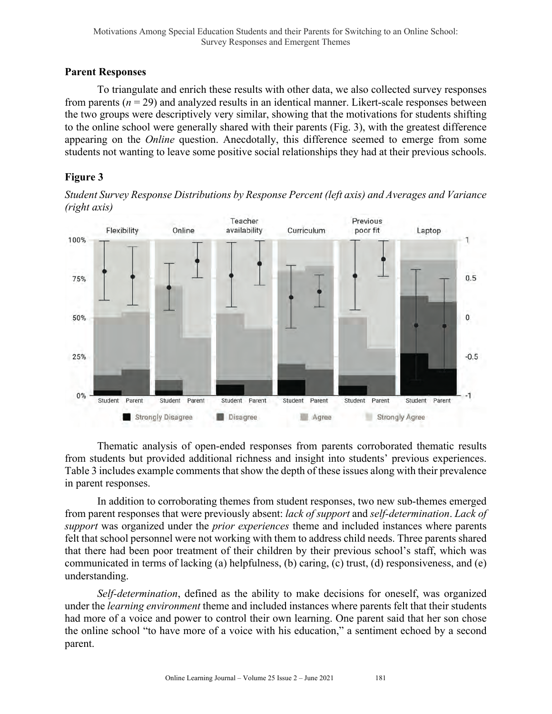### **Parent Responses**

To triangulate and enrich these results with other data, we also collected survey responses from parents (*n* = 29) and analyzed results in an identical manner. Likert-scale responses between the two groups were descriptively very similar, showing that the motivations for students shifting to the online school were generally shared with their parents (Fig. 3), with the greatest difference appearing on the *Online* question. Anecdotally, this difference seemed to emerge from some students not wanting to leave some positive social relationships they had at their previous schools.

# **Figure 3**

*Student Survey Response Distributions by Response Percent (left axis) and Averages and Variance (right axis)*



Thematic analysis of open-ended responses from parents corroborated thematic results from students but provided additional richness and insight into students' previous experiences. Table 3 includes example comments that show the depth of these issues along with their prevalence in parent responses.

In addition to corroborating themes from student responses, two new sub-themes emerged from parent responses that were previously absent: *lack of support* and *self-determination*. *Lack of support* was organized under the *prior experiences* theme and included instances where parents felt that school personnel were not working with them to address child needs. Three parents shared that there had been poor treatment of their children by their previous school's staff, which was communicated in terms of lacking (a) helpfulness, (b) caring, (c) trust, (d) responsiveness, and (e) understanding.

*Self-determination*, defined as the ability to make decisions for oneself, was organized under the *learning environment* theme and included instances where parents felt that their students had more of a voice and power to control their own learning. One parent said that her son chose the online school "to have more of a voice with his education," a sentiment echoed by a second parent.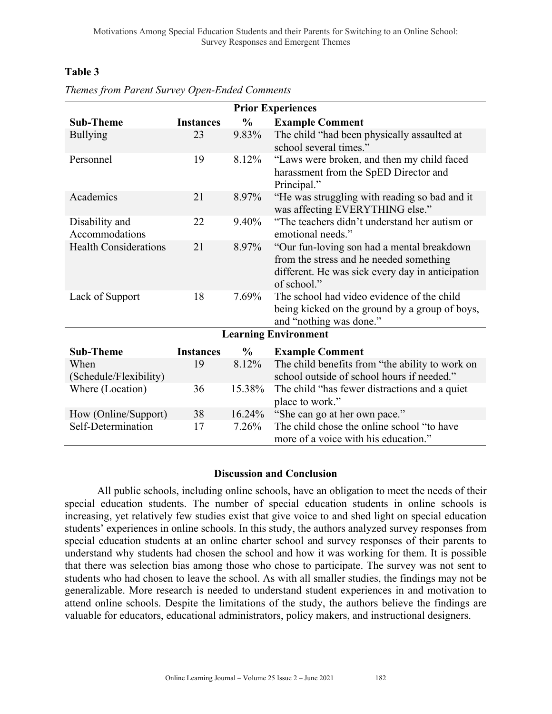# **Table 3**

|                                  |                  |               | <b>Prior Experiences</b>                                                                                                                                 |
|----------------------------------|------------------|---------------|----------------------------------------------------------------------------------------------------------------------------------------------------------|
| <b>Sub-Theme</b>                 | <b>Instances</b> | $\frac{0}{0}$ | <b>Example Comment</b>                                                                                                                                   |
| <b>Bullying</b>                  | 23               | 9.83%         | The child "had been physically assaulted at<br>school several times."                                                                                    |
| Personnel                        | 19               | 8.12%         | "Laws were broken, and then my child faced<br>harassment from the SpED Director and<br>Principal."                                                       |
| Academics                        | 21               | 8.97%         | "He was struggling with reading so bad and it<br>was affecting EVERYTHING else."                                                                         |
| Disability and<br>Accommodations | 22               | 9.40%         | "The teachers didn't understand her autism or<br>emotional needs."                                                                                       |
| <b>Health Considerations</b>     | 21               | 8.97%         | "Our fun-loving son had a mental breakdown<br>from the stress and he needed something<br>different. He was sick every day in anticipation<br>of school." |
| Lack of Support                  | 18               | 7.69%         | The school had video evidence of the child<br>being kicked on the ground by a group of boys,<br>and "nothing was done."                                  |
|                                  |                  |               | <b>Learning Environment</b>                                                                                                                              |
| <b>Sub-Theme</b>                 | <b>Instances</b> | $\frac{6}{6}$ | <b>Example Comment</b>                                                                                                                                   |
| When<br>(Schedule/Flexibility)   | 19               | 8.12%         | The child benefits from "the ability to work on<br>school outside of school hours if needed."                                                            |
| Where (Location)                 | 36               | 15.38%        | The child "has fewer distractions and a quiet<br>place to work."                                                                                         |
| How (Online/Support)             | 38               | 16.24%        | "She can go at her own pace."                                                                                                                            |
| Self-Determination               | 17               | 7.26%         | The child chose the online school "to have<br>more of a voice with his education."                                                                       |

| Themes from Parent Survey Open-Ended Comments |
|-----------------------------------------------|
|-----------------------------------------------|

#### **Discussion and Conclusion**

All public schools, including online schools, have an obligation to meet the needs of their special education students. The number of special education students in online schools is increasing, yet relatively few studies exist that give voice to and shed light on special education students' experiences in online schools. In this study, the authors analyzed survey responses from special education students at an online charter school and survey responses of their parents to understand why students had chosen the school and how it was working for them. It is possible that there was selection bias among those who chose to participate. The survey was not sent to students who had chosen to leave the school. As with all smaller studies, the findings may not be generalizable. More research is needed to understand student experiences in and motivation to attend online schools. Despite the limitations of the study, the authors believe the findings are valuable for educators, educational administrators, policy makers, and instructional designers.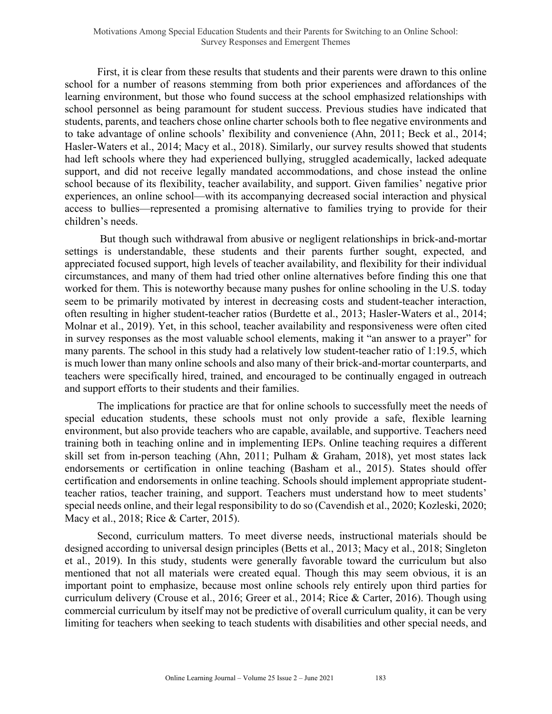First, it is clear from these results that students and their parents were drawn to this online school for a number of reasons stemming from both prior experiences and affordances of the learning environment, but those who found success at the school emphasized relationships with school personnel as being paramount for student success. Previous studies have indicated that students, parents, and teachers chose online charter schools both to flee negative environments and to take advantage of online schools' flexibility and convenience (Ahn, 2011; Beck et al., 2014; Hasler-Waters et al., 2014; Macy et al., 2018). Similarly, our survey results showed that students had left schools where they had experienced bullying, struggled academically, lacked adequate support, and did not receive legally mandated accommodations, and chose instead the online school because of its flexibility, teacher availability, and support. Given families' negative prior experiences, an online school—with its accompanying decreased social interaction and physical access to bullies—represented a promising alternative to families trying to provide for their children's needs.

But though such withdrawal from abusive or negligent relationships in brick-and-mortar settings is understandable, these students and their parents further sought, expected, and appreciated focused support, high levels of teacher availability, and flexibility for their individual circumstances, and many of them had tried other online alternatives before finding this one that worked for them. This is noteworthy because many pushes for online schooling in the U.S. today seem to be primarily motivated by interest in decreasing costs and student-teacher interaction, often resulting in higher student-teacher ratios (Burdette et al., 2013; Hasler-Waters et al., 2014; Molnar et al., 2019). Yet, in this school, teacher availability and responsiveness were often cited in survey responses as the most valuable school elements, making it "an answer to a prayer" for many parents. The school in this study had a relatively low student-teacher ratio of 1:19.5, which is much lower than many online schools and also many of their brick-and-mortar counterparts, and teachers were specifically hired, trained, and encouraged to be continually engaged in outreach and support efforts to their students and their families.

The implications for practice are that for online schools to successfully meet the needs of special education students, these schools must not only provide a safe, flexible learning environment, but also provide teachers who are capable, available, and supportive. Teachers need training both in teaching online and in implementing IEPs. Online teaching requires a different skill set from in-person teaching (Ahn, 2011; Pulham & Graham, 2018), yet most states lack endorsements or certification in online teaching (Basham et al., 2015). States should offer certification and endorsements in online teaching. Schools should implement appropriate studentteacher ratios, teacher training, and support. Teachers must understand how to meet students' special needs online, and their legal responsibility to do so (Cavendish et al., 2020; Kozleski, 2020; Macy et al., 2018; Rice & Carter, 2015).

Second, curriculum matters. To meet diverse needs, instructional materials should be designed according to universal design principles (Betts et al., 2013; Macy et al., 2018; Singleton et al., 2019). In this study, students were generally favorable toward the curriculum but also mentioned that not all materials were created equal. Though this may seem obvious, it is an important point to emphasize, because most online schools rely entirely upon third parties for curriculum delivery (Crouse et al., 2016; Greer et al., 2014; Rice & Carter, 2016). Though using commercial curriculum by itself may not be predictive of overall curriculum quality, it can be very limiting for teachers when seeking to teach students with disabilities and other special needs, and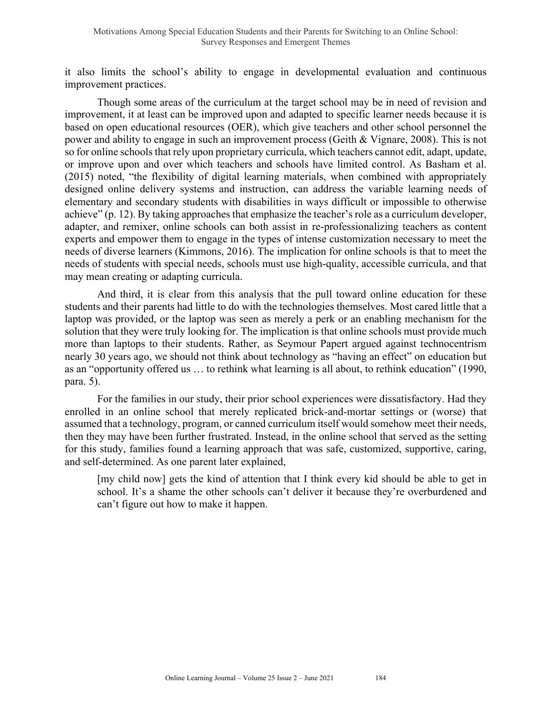it also limits the school's ability to engage in developmental evaluation and continuous improvement practices.

Though some areas of the curriculum at the target school may be in need of revision and improvement, it at least can be improved upon and adapted to specific learner needs because it is based on open educational resources (OER), which give teachers and other school personnel the power and ability to engage in such an improvement process (Geith & Vignare, 2008). This is not so for online schools that rely upon proprietary curricula, which teachers cannot edit, adapt, update, or improve upon and over which teachers and schools have limited control. As Basham et al. (2015) noted, "the flexibility of digital learning materials, when combined with appropriately designed online delivery systems and instruction, can address the variable learning needs of elementary and secondary students with disabilities in ways difficult or impossible to otherwise achieve" (p. 12). By taking approaches that emphasize the teacher's role as a curriculum developer, adapter, and remixer, online schools can both assist in re-professionalizing teachers as content experts and empower them to engage in the types of intense customization necessary to meet the needs of diverse learners (Kimmons, 2016). The implication for online schools is that to meet the needs of students with special needs, schools must use high-quality, accessible curricula, and that may mean creating or adapting curricula.

And third, it is clear from this analysis that the pull toward online education for these students and their parents had little to do with the technologies themselves. Most cared little that a laptop was provided, or the laptop was seen as merely a perk or an enabling mechanism for the solution that they were truly looking for. The implication is that online schools must provide much more than laptops to their students. Rather, as Seymour Papert argued against technocentrism nearly 30 years ago, we should not think about technology as "having an effect" on education but as an "opportunity offered us … to rethink what learning is all about, to rethink education" (1990, para. 5).

For the families in our study, their prior school experiences were dissatisfactory. Had they enrolled in an online school that merely replicated brick-and-mortar settings or (worse) that assumed that a technology, program, or canned curriculum itself would somehow meet their needs, then they may have been further frustrated. Instead, in the online school that served as the setting for this study, families found a learning approach that was safe, customized, supportive, caring, and self-determined. As one parent later explained,

[my child now] gets the kind of attention that I think every kid should be able to get in school. It's a shame the other schools can't deliver it because they're overburdened and can't figure out how to make it happen.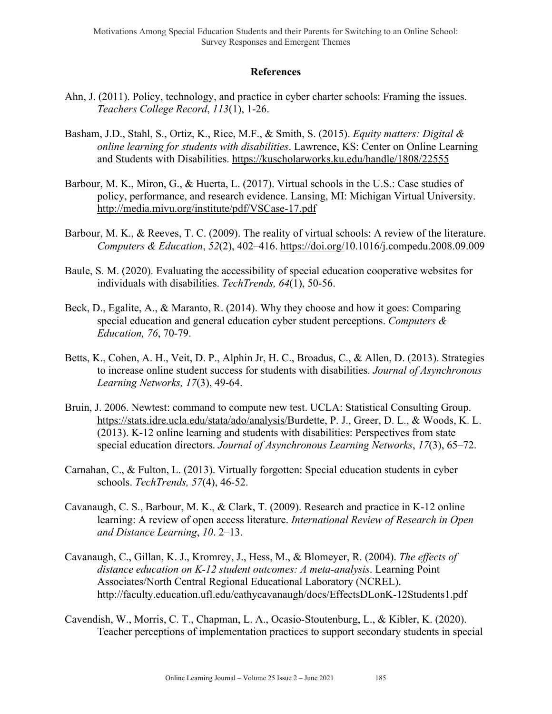#### **References**

- Ahn, J. (2011). Policy, technology, and practice in cyber charter schools: Framing the issues. *Teachers College Record*, *113*(1), 1-26.
- Basham, J.D., Stahl, S., Ortiz, K., Rice, M.F., & Smith, S. (2015). *Equity matters: Digital & online learning for students with disabilities*. Lawrence, KS: Center on Online Learning and Students with Disabilities. https://kuscholarworks.ku.edu/handle/1808/22555
- Barbour, M. K., Miron, G., & Huerta, L. (2017). Virtual schools in the U.S.: Case studies of policy, performance, and research evidence. Lansing, MI: Michigan Virtual University. http://media.mivu.org/institute/pdf/VSCase-17.pdf
- Barbour, M. K., & Reeves, T. C. (2009). The reality of virtual schools: A review of the literature. *Computers & Education*, *52*(2), 402–416. https://doi.org/10.1016/j.compedu.2008.09.009
- Baule, S. M. (2020). Evaluating the accessibility of special education cooperative websites for individuals with disabilities. *TechTrends, 64*(1), 50-56.
- Beck, D., Egalite, A., & Maranto, R. (2014). Why they choose and how it goes: Comparing special education and general education cyber student perceptions. *Computers & Education, 76*, 70-79.
- Betts, K., Cohen, A. H., Veit, D. P., Alphin Jr, H. C., Broadus, C., & Allen, D. (2013). Strategies to increase online student success for students with disabilities. *Journal of Asynchronous Learning Networks, 17*(3), 49-64.
- Bruin, J. 2006. Newtest: command to compute new test. UCLA: Statistical Consulting Group. https://stats.idre.ucla.edu/stata/ado/analysis/Burdette, P. J., Greer, D. L., & Woods, K. L. (2013). K-12 online learning and students with disabilities: Perspectives from state special education directors. *Journal of Asynchronous Learning Networks*, *17*(3), 65–72.
- Carnahan, C., & Fulton, L. (2013). Virtually forgotten: Special education students in cyber schools. *TechTrends, 57*(4), 46-52.
- Cavanaugh, C. S., Barbour, M. K., & Clark, T. (2009). Research and practice in K-12 online learning: A review of open access literature. *International Review of Research in Open and Distance Learning*, *10*. 2–13.
- Cavanaugh, C., Gillan, K. J., Kromrey, J., Hess, M., & Blomeyer, R. (2004). *The effects of distance education on K-12 student outcomes: A meta-analysis*. Learning Point Associates/North Central Regional Educational Laboratory (NCREL). http://faculty.education.ufl.edu/cathycavanaugh/docs/EffectsDLonK-12Students1.pdf
- Cavendish, W., Morris, C. T., Chapman, L. A., Ocasio-Stoutenburg, L., & Kibler, K. (2020). Teacher perceptions of implementation practices to support secondary students in special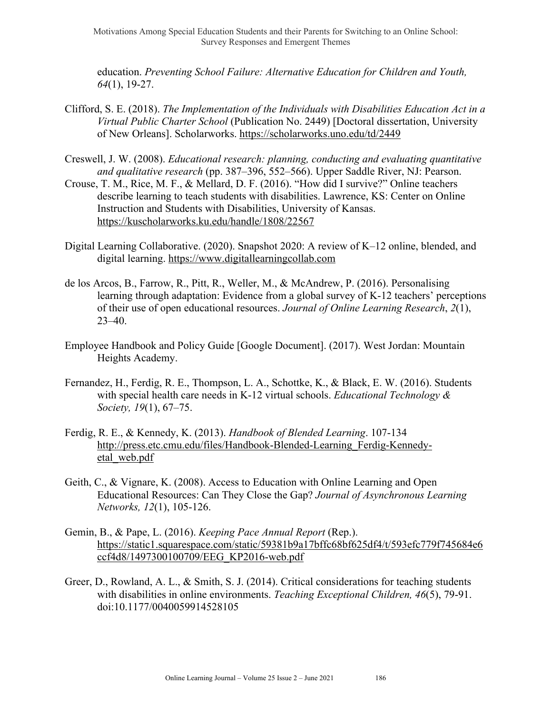Motivations Among Special Education Students and their Parents for Switching to an Online School: Survey Responses and Emergent Themes

education. *Preventing School Failure: Alternative Education for Children and Youth, 64*(1), 19-27.

- Clifford, S. E. (2018). *The Implementation of the Individuals with Disabilities Education Act in a Virtual Public Charter School* (Publication No. 2449) [Doctoral dissertation, University of New Orleans]. Scholarworks. https://scholarworks.uno.edu/td/2449
- Creswell, J. W. (2008). *Educational research: planning, conducting and evaluating quantitative and qualitative research* (pp. 387–396, 552–566). Upper Saddle River, NJ: Pearson.
- Crouse, T. M., Rice, M. F., & Mellard, D. F. (2016). "How did I survive?" Online teachers describe learning to teach students with disabilities. Lawrence, KS: Center on Online Instruction and Students with Disabilities, University of Kansas. https://kuscholarworks.ku.edu/handle/1808/22567
- Digital Learning Collaborative. (2020). Snapshot 2020: A review of K–12 online, blended, and digital learning. https://www.digitallearningcollab.com
- de los Arcos, B., Farrow, R., Pitt, R., Weller, M., & McAndrew, P. (2016). Personalising learning through adaptation: Evidence from a global survey of K-12 teachers' perceptions of their use of open educational resources. *Journal of Online Learning Research*, *2*(1), 23–40.
- Employee Handbook and Policy Guide [Google Document]. (2017). West Jordan: Mountain Heights Academy.
- Fernandez, H., Ferdig, R. E., Thompson, L. A., Schottke, K., & Black, E. W. (2016). Students with special health care needs in K-12 virtual schools. *Educational Technology & Society, 19*(1), 67–75.
- Ferdig, R. E., & Kennedy, K. (2013). *Handbook of Blended Learning*. 107-134 http://press.etc.cmu.edu/files/Handbook-Blended-Learning\_Ferdig-Kennedyetal\_web.pdf
- Geith, C., & Vignare, K. (2008). Access to Education with Online Learning and Open Educational Resources: Can They Close the Gap? *Journal of Asynchronous Learning Networks, 12*(1), 105-126.
- Gemin, B., & Pape, L. (2016). *Keeping Pace Annual Report* (Rep.). https://static1.squarespace.com/static/59381b9a17bffc68bf625df4/t/593efc779f745684e6 ccf4d8/1497300100709/EEG\_KP2016-web.pdf
- Greer, D., Rowland, A. L., & Smith, S. J. (2014). Critical considerations for teaching students with disabilities in online environments. *Teaching Exceptional Children, 46*(5), 79-91. doi:10.1177/0040059914528105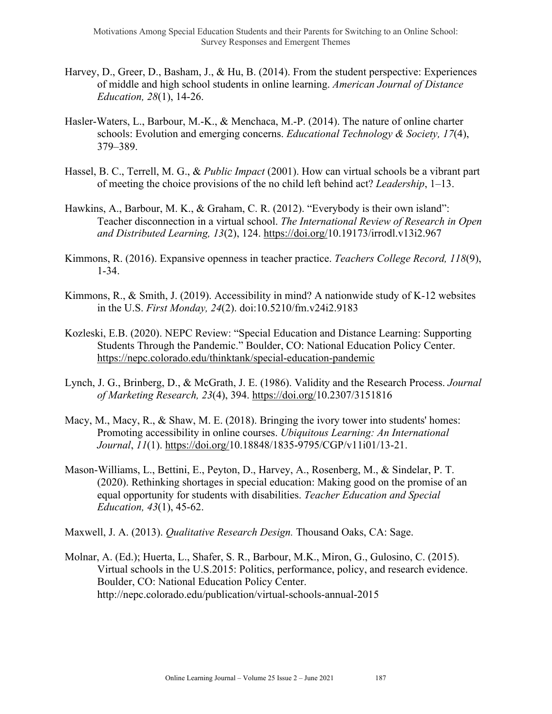- Harvey, D., Greer, D., Basham, J., & Hu, B. (2014). From the student perspective: Experiences of middle and high school students in online learning. *American Journal of Distance Education, 28*(1), 14-26.
- Hasler-Waters, L., Barbour, M.-K., & Menchaca, M.-P. (2014). The nature of online charter schools: Evolution and emerging concerns. *Educational Technology & Society, 17*(4), 379–389.
- Hassel, B. C., Terrell, M. G., & *Public Impact* (2001). How can virtual schools be a vibrant part of meeting the choice provisions of the no child left behind act? *Leadership*, 1–13.
- Hawkins, A., Barbour, M. K., & Graham, C. R. (2012). "Everybody is their own island": Teacher disconnection in a virtual school. *The International Review of Research in Open and Distributed Learning, 13*(2), 124. https://doi.org/10.19173/irrodl.v13i2.967
- Kimmons, R. (2016). Expansive openness in teacher practice. *Teachers College Record, 118*(9), 1-34.
- Kimmons, R., & Smith, J. (2019). Accessibility in mind? A nationwide study of K-12 websites in the U.S. *First Monday, 24*(2). doi:10.5210/fm.v24i2.9183
- Kozleski, E.B. (2020). NEPC Review: "Special Education and Distance Learning: Supporting Students Through the Pandemic." Boulder, CO: National Education Policy Center. https://nepc.colorado.edu/thinktank/special-education-pandemic
- Lynch, J. G., Brinberg, D., & McGrath, J. E. (1986). Validity and the Research Process. *Journal of Marketing Research, 23*(4), 394. https://doi.org/10.2307/3151816
- Macy, M., Macy, R., & Shaw, M. E. (2018). Bringing the ivory tower into students' homes: Promoting accessibility in online courses. *Ubiquitous Learning: An International Journal*, *11*(1). https://doi.org/10.18848/1835-9795/CGP/v11i01/13-21.
- Mason-Williams, L., Bettini, E., Peyton, D., Harvey, A., Rosenberg, M., & Sindelar, P. T. (2020). Rethinking shortages in special education: Making good on the promise of an equal opportunity for students with disabilities. *Teacher Education and Special Education, 43*(1), 45-62.

Maxwell, J. A. (2013). *Qualitative Research Design.* Thousand Oaks, CA: Sage.

Molnar, A. (Ed.); Huerta, L., Shafer, S. R., Barbour, M.K., Miron, G., Gulosino, C. (2015). Virtual schools in the U.S.2015: Politics, performance, policy, and research evidence. Boulder, CO: National Education Policy Center. http://nepc.colorado.edu/publication/virtual-schools-annual-2015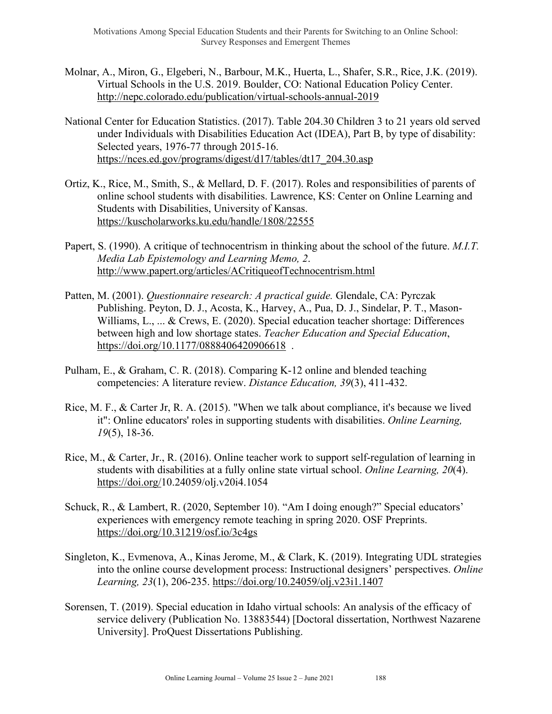- Molnar, A., Miron, G., Elgeberi, N., Barbour, M.K., Huerta, L., Shafer, S.R., Rice, J.K. (2019). Virtual Schools in the U.S. 2019. Boulder, CO: National Education Policy Center. http://nepc.colorado.edu/publication/virtual-schools-annual-2019
- National Center for Education Statistics. (2017). Table 204.30 Children 3 to 21 years old served under Individuals with Disabilities Education Act (IDEA), Part B, by type of disability: Selected years, 1976-77 through 2015-16. https://nces.ed.gov/programs/digest/d17/tables/dt17\_204.30.asp
- Ortiz, K., Rice, M., Smith, S., & Mellard, D. F. (2017). Roles and responsibilities of parents of online school students with disabilities. Lawrence, KS: Center on Online Learning and Students with Disabilities, University of Kansas. https://kuscholarworks.ku.edu/handle/1808/22555
- Papert, S. (1990). A critique of technocentrism in thinking about the school of the future. *M.I.T. Media Lab Epistemology and Learning Memo, 2*. http://www.papert.org/articles/ACritiqueofTechnocentrism.html
- Patten, M. (2001). *Questionnaire research: A practical guide.* Glendale, CA: Pyrczak Publishing. Peyton, D. J., Acosta, K., Harvey, A., Pua, D. J., Sindelar, P. T., Mason-Williams, L., ... & Crews, E. (2020). Special education teacher shortage: Differences between high and low shortage states. *Teacher Education and Special Education*, https://doi.org/10.1177/0888406420906618.
- Pulham, E., & Graham, C. R. (2018). Comparing K-12 online and blended teaching competencies: A literature review. *Distance Education, 39*(3), 411-432.
- Rice, M. F., & Carter Jr, R. A. (2015). "When we talk about compliance, it's because we lived it": Online educators' roles in supporting students with disabilities. *Online Learning, 19*(5), 18-36.
- Rice, M., & Carter, Jr., R. (2016). Online teacher work to support self-regulation of learning in students with disabilities at a fully online state virtual school. *Online Learning, 20*(4). https://doi.org/10.24059/olj.v20i4.1054
- Schuck, R., & Lambert, R. (2020, September 10). "Am I doing enough?" Special educators' experiences with emergency remote teaching in spring 2020. OSF Preprints. https://doi.org/10.31219/osf.io/3c4gs
- Singleton, K., Evmenova, A., Kinas Jerome, M., & Clark, K. (2019). Integrating UDL strategies into the online course development process: Instructional designers' perspectives. *Online Learning, 23*(1), 206-235. https://doi.org/10.24059/olj.v23i1.1407
- Sorensen, T. (2019). Special education in Idaho virtual schools: An analysis of the efficacy of service delivery (Publication No. 13883544) [Doctoral dissertation, Northwest Nazarene University]. ProQuest Dissertations Publishing.